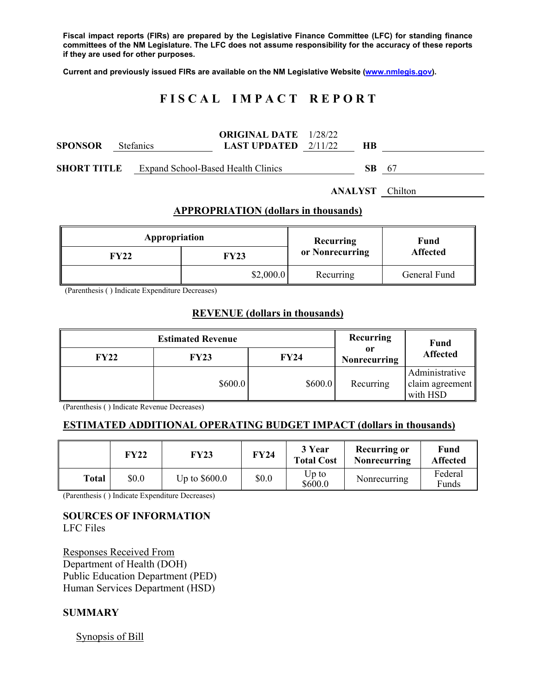**Fiscal impact reports (FIRs) are prepared by the Legislative Finance Committee (LFC) for standing finance committees of the NM Legislature. The LFC does not assume responsibility for the accuracy of these reports if they are used for other purposes.** 

**Current and previously issued FIRs are available on the NM Legislative Website (www.nmlegis.gov).** 

# **F I S C A L I M P A C T R E P O R T**

| <b>SPONSOR</b>     | <b>Stefanics</b>                   | <b>ORIGINAL DATE</b> 1/28/22<br><b>LAST UPDATED</b> $2/11/22$ | HВ  |      |
|--------------------|------------------------------------|---------------------------------------------------------------|-----|------|
| <b>SHORT TITLE</b> | Expand School-Based Health Clinics |                                                               | SB. | - 67 |

**ANALYST** Chilton

#### **APPROPRIATION (dollars in thousands)**

| Appropriation |           | Recurring       | Fund<br><b>Affected</b> |  |
|---------------|-----------|-----------------|-------------------------|--|
| FY22          | FY23      | or Nonrecurring |                         |  |
|               | \$2,000.0 | Recurring       | General Fund            |  |

(Parenthesis ( ) Indicate Expenditure Decreases)

#### **REVENUE (dollars in thousands)**

|             | <b>Recurring</b> | <b>Fund</b> |                           |                                               |
|-------------|------------------|-------------|---------------------------|-----------------------------------------------|
| <b>FY22</b> | <b>FY23</b>      | <b>FY24</b> | 0r<br><b>Nonrecurring</b> | <b>Affected</b>                               |
|             | \$600.0          | \$600.0\$   | Recurring                 | Administrative<br>claim agreement<br>with HSD |

(Parenthesis ( ) Indicate Revenue Decreases)

### **ESTIMATED ADDITIONAL OPERATING BUDGET IMPACT (dollars in thousands)**

|       | <b>FY22</b> | <b>FY23</b>    | <b>FY24</b> | 3 Year<br><b>Total Cost</b> | Recurring or<br>Nonrecurring | Fund<br><b>Affected</b> |
|-------|-------------|----------------|-------------|-----------------------------|------------------------------|-------------------------|
| Total | \$0.0       | Up to $$600.0$ | \$0.0       | Up to<br>\$600.0            | Nonrecurring                 | Federal<br>Funds        |

(Parenthesis ( ) Indicate Expenditure Decreases)

#### **SOURCES OF INFORMATION**

LFC Files

Responses Received From Department of Health (DOH) Public Education Department (PED) Human Services Department (HSD)

#### **SUMMARY**

Synopsis of Bill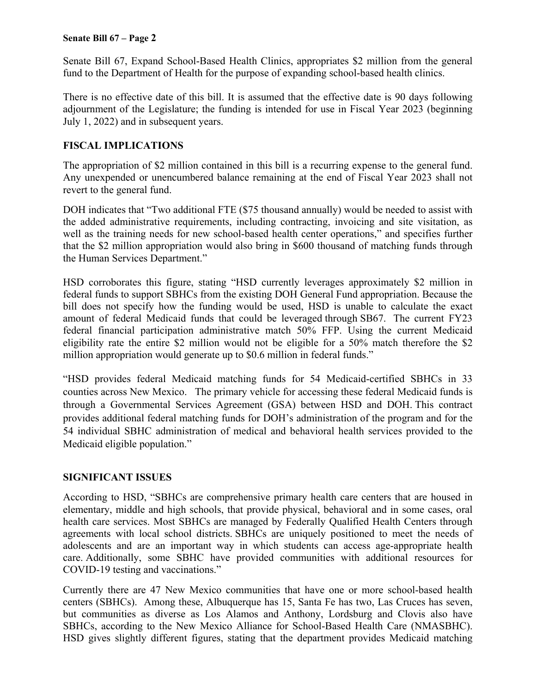## **Senate Bill 67 – Page 2**

Senate Bill 67, Expand School-Based Health Clinics, appropriates \$2 million from the general fund to the Department of Health for the purpose of expanding school-based health clinics.

There is no effective date of this bill. It is assumed that the effective date is 90 days following adjournment of the Legislature; the funding is intended for use in Fiscal Year 2023 (beginning July 1, 2022) and in subsequent years.

# **FISCAL IMPLICATIONS**

The appropriation of \$2 million contained in this bill is a recurring expense to the general fund. Any unexpended or unencumbered balance remaining at the end of Fiscal Year 2023 shall not revert to the general fund.

DOH indicates that "Two additional FTE (\$75 thousand annually) would be needed to assist with the added administrative requirements, including contracting, invoicing and site visitation, as well as the training needs for new school-based health center operations," and specifies further that the \$2 million appropriation would also bring in \$600 thousand of matching funds through the Human Services Department."

HSD corroborates this figure, stating "HSD currently leverages approximately \$2 million in federal funds to support SBHCs from the existing DOH General Fund appropriation. Because the bill does not specify how the funding would be used, HSD is unable to calculate the exact amount of federal Medicaid funds that could be leveraged through SB67. The current FY23 federal financial participation administrative match 50% FFP. Using the current Medicaid eligibility rate the entire \$2 million would not be eligible for a 50% match therefore the \$2 million appropriation would generate up to \$0.6 million in federal funds."

"HSD provides federal Medicaid matching funds for 54 Medicaid-certified SBHCs in 33 counties across New Mexico. The primary vehicle for accessing these federal Medicaid funds is through a Governmental Services Agreement (GSA) between HSD and DOH. This contract provides additional federal matching funds for DOH's administration of the program and for the 54 individual SBHC administration of medical and behavioral health services provided to the Medicaid eligible population."

## **SIGNIFICANT ISSUES**

According to HSD, "SBHCs are comprehensive primary health care centers that are housed in elementary, middle and high schools, that provide physical, behavioral and in some cases, oral health care services. Most SBHCs are managed by Federally Qualified Health Centers through agreements with local school districts. SBHCs are uniquely positioned to meet the needs of adolescents and are an important way in which students can access age-appropriate health care. Additionally, some SBHC have provided communities with additional resources for COVID-19 testing and vaccinations."

Currently there are 47 New Mexico communities that have one or more school-based health centers (SBHCs). Among these, Albuquerque has 15, Santa Fe has two, Las Cruces has seven, but communities as diverse as Los Alamos and Anthony, Lordsburg and Clovis also have SBHCs, according to the New Mexico Alliance for School-Based Health Care (NMASBHC). HSD gives slightly different figures, stating that the department provides Medicaid matching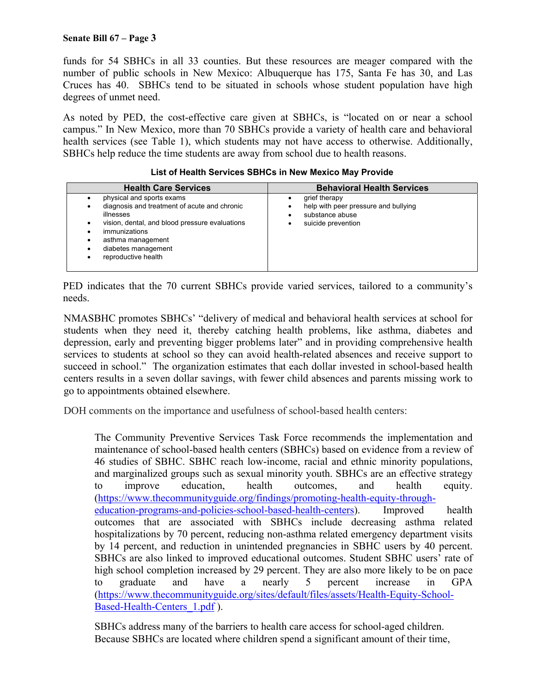## **Senate Bill 67 – Page 3**

funds for 54 SBHCs in all 33 counties. But these resources are meager compared with the number of public schools in New Mexico: Albuquerque has 175, Santa Fe has 30, and Las Cruces has 40. SBHCs tend to be situated in schools whose student population have high degrees of unmet need.

As noted by PED, the cost-effective care given at SBHCs, is "located on or near a school campus." In New Mexico, more than 70 SBHCs provide a variety of health care and behavioral health services (see Table 1), which students may not have access to otherwise. Additionally, SBHCs help reduce the time students are away from school due to health reasons.

| <b>Health Care Services</b>                                                                                                                                                                                                  | <b>Behavioral Health Services</b>                                                              |  |  |
|------------------------------------------------------------------------------------------------------------------------------------------------------------------------------------------------------------------------------|------------------------------------------------------------------------------------------------|--|--|
| physical and sports exams<br>diagnosis and treatment of acute and chronic<br>illnesses<br>vision, dental, and blood pressure evaluations<br>immunizations<br>asthma management<br>diabetes management<br>reproductive health | grief therapy<br>help with peer pressure and bullying<br>substance abuse<br>suicide prevention |  |  |

#### **List of Health Services SBHCs in New Mexico May Provide**

PED indicates that the 70 current SBHCs provide varied services, tailored to a community's needs.

NMASBHC promotes SBHCs' "delivery of medical and behavioral health services at school for students when they need it, thereby catching health problems, like asthma, diabetes and depression, early and preventing bigger problems later" and in providing comprehensive health services to students at school so they can avoid health-related absences and receive support to succeed in school." The organization estimates that each dollar invested in school-based health centers results in a seven dollar savings, with fewer child absences and parents missing work to go to appointments obtained elsewhere.

DOH comments on the importance and usefulness of school-based health centers:

The Community Preventive Services Task Force recommends the implementation and maintenance of school-based health centers (SBHCs) based on evidence from a review of 46 studies of SBHC. SBHC reach low-income, racial and ethnic minority populations, and marginalized groups such as sexual minority youth. SBHCs are an effective strategy to improve education, health outcomes, and health equity. (https://www.thecommunityguide.org/findings/promoting-health-equity-througheducation-programs-and-policies-school-based-health-centers). Improved health outcomes that are associated with SBHCs include decreasing asthma related hospitalizations by 70 percent, reducing non-asthma related emergency department visits by 14 percent, and reduction in unintended pregnancies in SBHC users by 40 percent. SBHCs are also linked to improved educational outcomes. Student SBHC users' rate of high school completion increased by 29 percent. They are also more likely to be on pace to graduate and have a nearly 5 percent increase in GPA (https://www.thecommunityguide.org/sites/default/files/assets/Health-Equity-School-Based-Health-Centers\_1.pdf ).

SBHCs address many of the barriers to health care access for school-aged children. Because SBHCs are located where children spend a significant amount of their time,